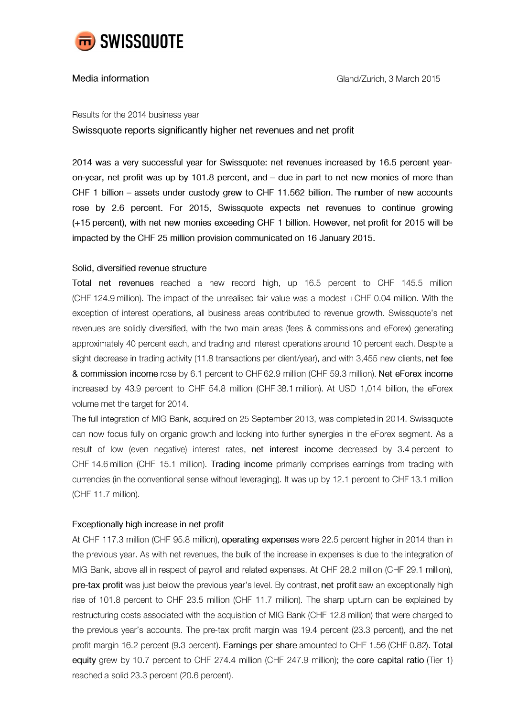

## Media information

#### Results for the 2014 business year

Swissquote reports significantly higher net revenues and net profit

2014 was a very successful year for Swissquote: net revenues increased by 16.5 percent yearon-year, net profit was up by 101.8 percent, and  $-$  due in part to net new monies of more than CHF 1 billion - assets under custody grew to CHF 11.562 billion. The number of new accounts rose by 2.6 percent. For 2015, Swissquote expects net revenues to continue growing (+15 percent), with net new monies exceeding CHF 1 billion. However, net profit for 2015 will be impacted by the CHF 25 million provision communicated on 16 January 2015.

### Solid, diversified revenue structure

Total net revenues reached a new record high, up 16.5 percent to CHF 145.5 million (CHF 124.9 million). The impact of the unrealised fair value was a modest +CHF 0.04 million. With the exception of interest operations, all business areas contributed to revenue growth. Swissquote's net revenues are solidly diversified, with the two main areas (fees & commissions and eForex) generating approximately 40 percent each, and trading and interest operations around 10 percent each. Despite a slight decrease in trading activity (11.8 transactions per client/year), and with 3,455 new clients, net fee & commission income rose by 6.1 percent to CHF 62.9 million (CHF 59.3 million). Net eForex income increased by 43.9 percent to CHF 54.8 million (CHF 38.1 million). At USD 1,014 billion, the eForex volume met the target for 2014.

The full integration of MIG Bank, acquired on 25 September 2013, was completed in 2014. Swissquote can now focus fully on organic growth and locking into further synergies in the eForex segment. As a result of low (even negative) interest rates, net interest income decreased by 3.4 percent to CHF 14.6 million (CHF 15.1 million). Trading income primarily comprises earnings from trading with currencies (in the conventional sense without leveraging). It was up by 12.1 percent to CHF 13.1 million (CHF 11.7 million).

# Exceptionally high increase in net profit

At CHF 117.3 million (CHF 95.8 million), operating expenses were 22.5 percent higher in 2014 than in the previous year. As with net revenues, the bulk of the increase in expenses is due to the integration of MIG Bank, above all in respect of payroll and related expenses. At CHF 28.2 million (CHF 29.1 million), pre-tax profit was just below the previous year's level. By contrast, net profit saw an exceptionally high rise of 101.8 percent to CHF 23.5 million (CHF 11.7 million). The sharp upturn can be explained by restructuring costs associated with the acquisition of MIG Bank (CHF 12.8 million) that were charged to the previous year's accounts. The pre-tax profit margin was 19.4 percent (23.3 percent), and the net profit margin 16.2 percent (9.3 percent). Earnings per share amounted to CHF 1.56 (CHF 0.82). Total equity grew by 10.7 percent to CHF 274.4 million (CHF 247.9 million); the core capital ratio (Tier 1) reached a solid 23.3 percent (20.6 percent).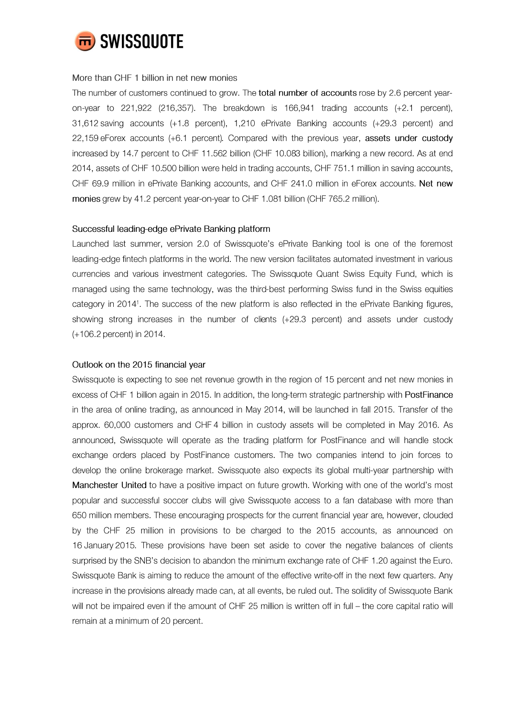

#### More than CHF 1 billion in net new monies

The number of customers continued to grow. The total number of accounts rose by 2.6 percent yearon-year to  $221,922$  (216,357). The breakdown is 166,941 trading accounts (+2.1 percent), 31,612 saving accounts (+1.8 percent), 1,210 ePrivate Banking accounts (+29.3 percent) and 22,159 eForex accounts (+6.1 percent). Compared with the previous year, assets under custody increased by 14.7 percent to CHF 11.562 billion (CHF 10.083 billion), marking a new record. As at end 2014, assets of CHF 10.500 billion were held in trading accounts, CHF 751.1 million in saving accounts, CHF 69.9 million in ePrivate Banking accounts, and CHF 241.0 million in eForex accounts. Net new monies grew by 41.2 percent year-on-year to CHF 1.081 billion (CHF 765.2 million).

#### Successful leading-edge ePrivate Banking platform

Launched last summer, version 2.0 of Swissquote's ePrivate Banking tool is one of the foremost leading-edge fintech platforms in the world. The new version facilitates automated investment in various currencies and various investment categories. The Swissquote Quant Swiss Equity Fund, which is managed using the same technology, was the third-best performing Swiss fund in the Swiss equities category in 2014<sup>1</sup>. The success of the new platform is also reflected in the ePrivate Banking figures, showing strong increases in the number of clients (+29.3 percent) and assets under custody (+106.2 percent) in 2014.

### Outlook on the 2015 financial year

Swissquote is expecting to see net revenue growth in the region of 15 percent and net new monies in excess of CHF 1 billion again in 2015. In addition, the long-term strategic partnership with PostFinance in the area of online trading, as announced in May 2014, will be launched in fall 2015. Transfer of the approx. 60,000 customers and CHF 4 billion in custody assets will be completed in May 2016. As announced, Swissquote will operate as the trading platform for PostFinance and will handle stock exchange orders placed by PostFinance customers. The two companies intend to join forces to develop the online brokerage market. Swissquote also expects its global multi-year partnership with Manchester United to have a positive impact on future growth. Working with one of the world's most popular and successful soccer clubs will give Swissquote access to a fan database with more than 650 million members. These encouraging prospects for the current financial year are, however, clouded by the CHF 25 million in provisions to be charged to the 2015 accounts, as announced on 16 January 2015. These provisions have been set aside to cover the negative balances of clients surprised by the SNB's decision to abandon the minimum exchange rate of CHF 1.20 against the Euro. Swissquote Bank is aiming to reduce the amount of the effective write-off in the next few quarters. Any increase in the provisions already made can, at all events, be ruled out. The solidity of Swissquote Bank will not be impaired even if the amount of CHF 25 million is written off in full - the core capital ratio will remain at a minimum of 20 percent.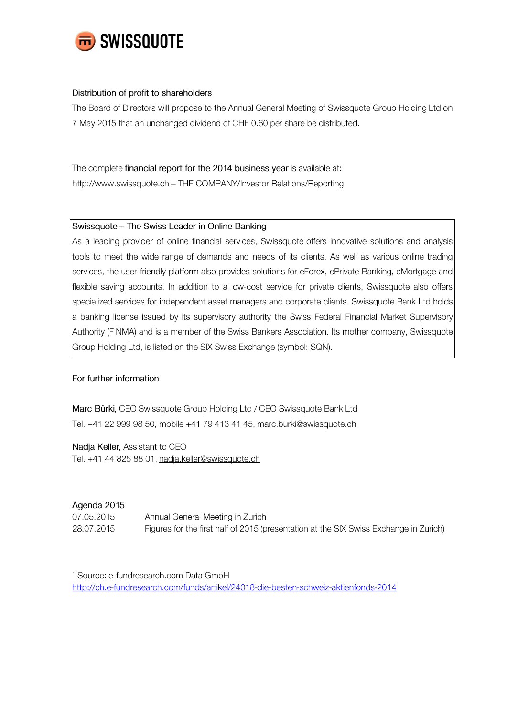

## Distribution of profit to shareholders

The Board of Directors will propose to the Annual General Meeting of Swissquote Group Holding Ltd on 7 May 2015 that an unchanged dividend of CHF 0.60 per share be distributed.

The complete financial report for the 2014 business year is available at: http://www.swissquote.ch - THE COMPANY/Investor Relations/Reporting

# Swissquote - The Swiss Leader in Online Banking

As a leading provider of online financial services, Swissquote offers innovative solutions and analysis tools to meet the wide range of demands and needs of its clients. As well as various online trading services, the user-friendly platform also provides solutions for eForex, ePrivate Banking, eMortgage and flexible saving accounts. In addition to a low-cost service for private clients, Swissquote also offers specialized services for independent asset managers and corporate clients. Swissquote Bank Ltd holds a banking license issued by its supervisory authority the Swiss Federal Financial Market Supervisory Authority (FINMA) and is a member of the Swiss Bankers Association. Its mother company, Swissquote Group Holding Ltd, is listed on the SIX Swiss Exchange (symbol: SQN).

# For further information

Marc Bürki, CEO Swissquote Group Holding Ltd / CEO Swissquote Bank Ltd Tel. +41 22 999 98 50, mobile +41 79 413 41 45, marc.burki@swissquote.ch

Nadja Keller, Assistant to CEO Tel. +41 44 825 88 01, nadja.keller@swissquote.ch

# Agenda 2015

07.05.2015 Annual General Meeting in Zurich 28.07.2015 Figures for the first half of 2015 (presentation at the SIX Swiss Exchange in Zurich)

<sup>1</sup> Source: e-fundresearch.com Data GmbH http://ch.e-fundresearch.com/funds/artikel/24018-die-besten-schweiz-aktienfonds-2014